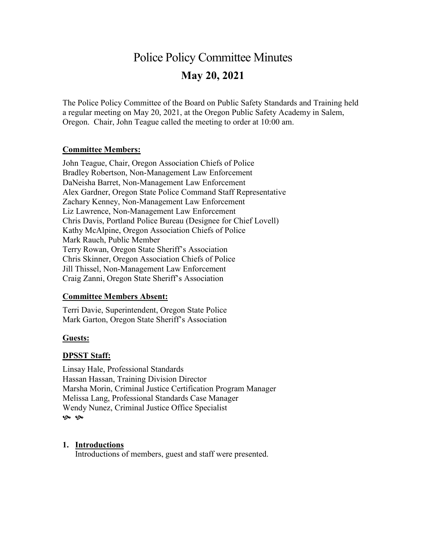# Police Policy Committee Minutes **May 20, 2021**

The Police Policy Committee of the Board on Public Safety Standards and Training held a regular meeting on May 20, 2021, at the Oregon Public Safety Academy in Salem, Oregon. Chair, John Teague called the meeting to order at 10:00 am.

#### **Committee Members:**

John Teague, Chair, Oregon Association Chiefs of Police Bradley Robertson, Non-Management Law Enforcement DaNeisha Barret, Non-Management Law Enforcement Alex Gardner, Oregon State Police Command Staff Representative Zachary Kenney, Non-Management Law Enforcement Liz Lawrence, Non-Management Law Enforcement Chris Davis, Portland Police Bureau (Designee for Chief Lovell) Kathy McAlpine, Oregon Association Chiefs of Police Mark Rauch, Public Member Terry Rowan, Oregon State Sheriff's Association Chris Skinner, Oregon Association Chiefs of Police Jill Thissel, Non-Management Law Enforcement Craig Zanni, Oregon State Sheriff's Association

#### **Committee Members Absent:**

Terri Davie, Superintendent, Oregon State Police Mark Garton, Oregon State Sheriff's Association

#### **Guests:**

## **DPSST Staff:**

Linsay Hale, Professional Standards Hassan Hassan, Training Division Director Marsha Morin, Criminal Justice Certification Program Manager Melissa Lang, Professional Standards Case Manager Wendy Nunez, Criminal Justice Office Specialist ֍ ֍

#### **1. Introductions**

Introductions of members, guest and staff were presented.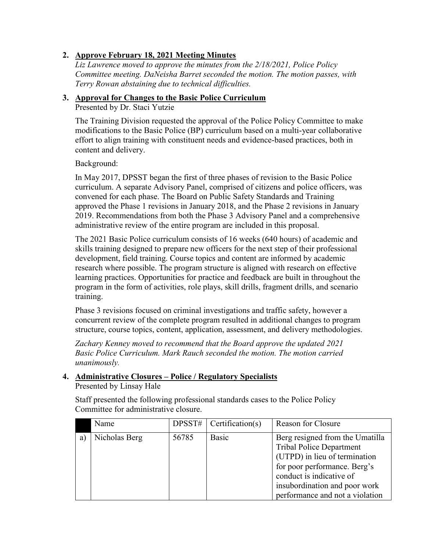## **2. Approve February 18, 2021 Meeting Minutes**

*Liz Lawrence moved to approve the minutes from the 2/18/2021, Police Policy Committee meeting. DaNeisha Barret seconded the motion. The motion passes, with Terry Rowan abstaining due to technical difficulties.* 

## **3. Approval for Changes to the Basic Police Curriculum**

Presented by Dr. Staci Yutzie

The Training Division requested the approval of the Police Policy Committee to make modifications to the Basic Police (BP) curriculum based on a multi-year collaborative effort to align training with constituent needs and evidence-based practices, both in content and delivery.

Background:

In May 2017, DPSST began the first of three phases of revision to the Basic Police curriculum. A separate Advisory Panel, comprised of citizens and police officers, was convened for each phase. The Board on Public Safety Standards and Training approved the Phase 1 revisions in January 2018, and the Phase 2 revisions in January 2019. Recommendations from both the Phase 3 Advisory Panel and a comprehensive administrative review of the entire program are included in this proposal.

The 2021 Basic Police curriculum consists of 16 weeks (640 hours) of academic and skills training designed to prepare new officers for the next step of their professional development, field training. Course topics and content are informed by academic research where possible. The program structure is aligned with research on effective learning practices. Opportunities for practice and feedback are built in throughout the program in the form of activities, role plays, skill drills, fragment drills, and scenario training.

Phase 3 revisions focused on criminal investigations and traffic safety, however a concurrent review of the complete program resulted in additional changes to program structure, course topics, content, application, assessment, and delivery methodologies.

*Zachary Kenney moved to recommend that the Board approve the updated 2021 Basic Police Curriculum. Mark Rauch seconded the motion. The motion carried unanimously.*

#### **4. Administrative Closures – Police / Regulatory Specialists** Presented by Linsay Hale

Staff presented the following professional standards cases to the Police Policy Committee for administrative closure.

|   | Name          |       | $DPSST\#$   Certification(s) | <b>Reason for Closure</b>                                                                                                                                                                                                           |
|---|---------------|-------|------------------------------|-------------------------------------------------------------------------------------------------------------------------------------------------------------------------------------------------------------------------------------|
| a | Nicholas Berg | 56785 | Basic                        | Berg resigned from the Umatilla<br><b>Tribal Police Department</b><br>(UTPD) in lieu of termination<br>for poor performance. Berg's<br>conduct is indicative of<br>insubordination and poor work<br>performance and not a violation |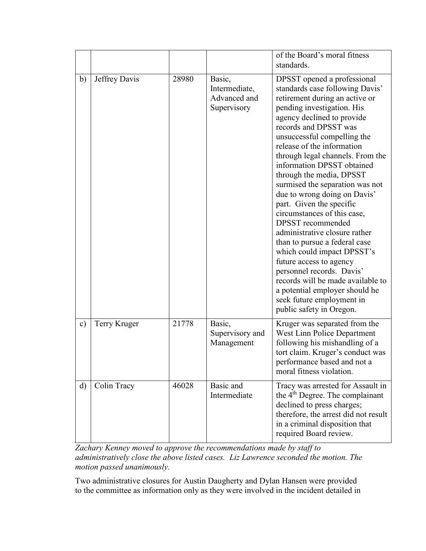|               |               |       |                                                        | of the Board's moral fitness<br>standards.                                                                                                                                                                                                                                                                                                                                                                                                                                                                                                                                                                                                                                                                                                                                                         |
|---------------|---------------|-------|--------------------------------------------------------|----------------------------------------------------------------------------------------------------------------------------------------------------------------------------------------------------------------------------------------------------------------------------------------------------------------------------------------------------------------------------------------------------------------------------------------------------------------------------------------------------------------------------------------------------------------------------------------------------------------------------------------------------------------------------------------------------------------------------------------------------------------------------------------------------|
| $\mathbf{b}$  | Jeffrey Davis | 28980 | Basic,<br>Intermediate,<br>Advanced and<br>Supervisory | DPSST opened a professional<br>standards case following Davis'<br>retirement during an active or<br>pending investigation. His<br>agency declined to provide<br>records and DPSST was<br>unsuccessful compelling the<br>release of the information<br>through legal channels. From the<br>information DPSST obtained<br>through the media, DPSST<br>surmised the separation was not<br>due to wrong doing on Davis'<br>part. Given the specific<br>circumstances of this case,<br><b>DPSST</b> recommended<br>administrative closure rather<br>than to pursue a federal case<br>which could impact DPSST's<br>future access to agency<br>personnel records. Davis'<br>records will be made available to<br>a potential employer should he<br>seek future employment in<br>public safety in Oregon. |
| $\mathbf{c})$ | Terry Kruger  | 21778 | Basic,<br>Supervisory and<br>Management                | Kruger was separated from the<br>West Linn Police Department<br>following his mishandling of a<br>tort claim. Kruger's conduct was<br>performance based and not a<br>moral fitness violation.                                                                                                                                                                                                                                                                                                                                                                                                                                                                                                                                                                                                      |
| $\mathbf{d}$  | Colin Tracy   | 46028 | Basic and<br>Intermediate                              | Tracy was arrested for Assault in<br>the 4 <sup>th</sup> Degree. The complainant<br>declined to press charges;<br>therefore, the arrest did not result<br>in a criminal disposition that<br>required Board review.                                                                                                                                                                                                                                                                                                                                                                                                                                                                                                                                                                                 |

*Zachary Kenney moved to approve the recommendations made by staff to administratively close the above listed cases. Liz Lawrence seconded the motion. The motion passed unanimously.* 

Two administrative closures for Austin Daugherty and Dylan Hansen were provided to the committee as information only as they were involved in the incident detailed in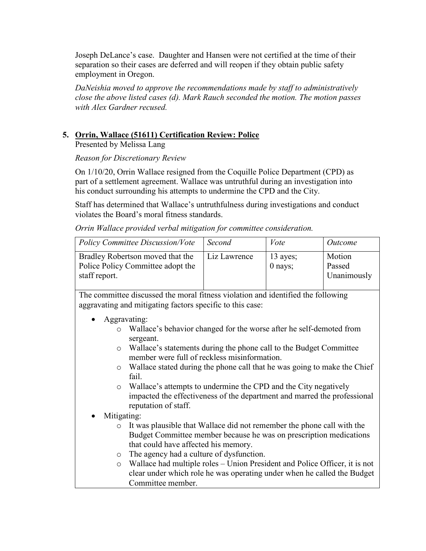Joseph DeLance's case. Daughter and Hansen were not certified at the time of their separation so their cases are deferred and will reopen if they obtain public safety employment in Oregon.

*DaNeishia moved to approve the recommendations made by staff to administratively close the above listed cases (d). Mark Rauch seconded the motion. The motion passes with Alex Gardner recused.* 

## **5. Orrin, Wallace (51611) Certification Review: Police**

Presented by Melissa Lang

#### *Reason for Discretionary Review*

On 1/10/20, Orrin Wallace resigned from the Coquille Police Department (CPD) as part of a settlement agreement. Wallace was untruthful during an investigation into his conduct surrounding his attempts to undermine the CPD and the City.

Staff has determined that Wallace's untruthfulness during investigations and conduct violates the Board's moral fitness standards.

*Orrin Wallace provided verbal mitigation for committee consideration.*

| Policy Committee Discussion/Vote                                                       | Second       | Vote                    | Outcome                         |
|----------------------------------------------------------------------------------------|--------------|-------------------------|---------------------------------|
| Bradley Robertson moved that the<br>Police Policy Committee adopt the<br>staff report. | Liz Lawrence | $13$ ayes;<br>$0$ nays; | Motion<br>Passed<br>Unanimously |

The committee discussed the moral fitness violation and identified the following aggravating and mitigating factors specific to this case:

- Aggravating:
	- o Wallace's behavior changed for the worse after he self-demoted from sergeant.
	- o Wallace's statements during the phone call to the Budget Committee member were full of reckless misinformation.
	- o Wallace stated during the phone call that he was going to make the Chief fail.
	- o Wallace's attempts to undermine the CPD and the City negatively impacted the effectiveness of the department and marred the professional reputation of staff.
- Mitigating:
	- o It was plausible that Wallace did not remember the phone call with the Budget Committee member because he was on prescription medications that could have affected his memory.
	- o The agency had a culture of dysfunction.
	- o Wallace had multiple roles Union President and Police Officer, it is not clear under which role he was operating under when he called the Budget Committee member.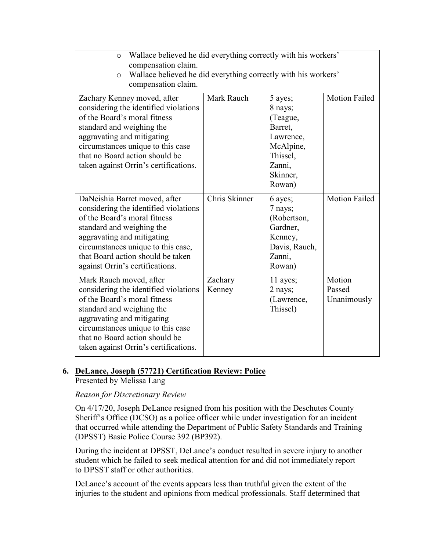| Wallace believed he did everything correctly with his workers'<br>$\circ$<br>compensation claim.<br>Wallace believed he did everything correctly with his workers'<br>$\circ$<br>compensation claim.                                                                            |                   |                                                                                                                 |                                 |  |  |
|---------------------------------------------------------------------------------------------------------------------------------------------------------------------------------------------------------------------------------------------------------------------------------|-------------------|-----------------------------------------------------------------------------------------------------------------|---------------------------------|--|--|
| Zachary Kenney moved, after<br>considering the identified violations<br>of the Board's moral fitness<br>standard and weighing the<br>aggravating and mitigating<br>circumstances unique to this case<br>that no Board action should be<br>taken against Orrin's certifications. | Mark Rauch        | 5 ayes;<br>8 nays;<br>(Teague,<br>Barret,<br>Lawrence,<br>McAlpine,<br>Thissel,<br>Zanni,<br>Skinner,<br>Rowan) | <b>Motion Failed</b>            |  |  |
| DaNeishia Barret moved, after<br>considering the identified violations<br>of the Board's moral fitness<br>standard and weighing the<br>aggravating and mitigating<br>circumstances unique to this case,<br>that Board action should be taken<br>against Orrin's certifications. | Chris Skinner     | 6 ayes;<br>7 nays;<br>(Robertson,<br>Gardner,<br>Kenney,<br>Davis, Rauch,<br>Zanni,<br>Rowan)                   | <b>Motion Failed</b>            |  |  |
| Mark Rauch moved, after<br>considering the identified violations<br>of the Board's moral fitness<br>standard and weighing the<br>aggravating and mitigating<br>circumstances unique to this case<br>that no Board action should be<br>taken against Orrin's certifications.     | Zachary<br>Kenney | 11 ayes;<br>2 nays;<br>(Lawrence,<br>Thissel)                                                                   | Motion<br>Passed<br>Unanimously |  |  |

## **6. DeLance, Joseph (57721) Certification Review: Police**

Presented by Melissa Lang

*Reason for Discretionary Review*

On 4/17/20, Joseph DeLance resigned from his position with the Deschutes County Sheriff's Office (DCSO) as a police officer while under investigation for an incident that occurred while attending the Department of Public Safety Standards and Training (DPSST) Basic Police Course 392 (BP392).

During the incident at DPSST, DeLance's conduct resulted in severe injury to another student which he failed to seek medical attention for and did not immediately report to DPSST staff or other authorities.

DeLance's account of the events appears less than truthful given the extent of the injuries to the student and opinions from medical professionals. Staff determined that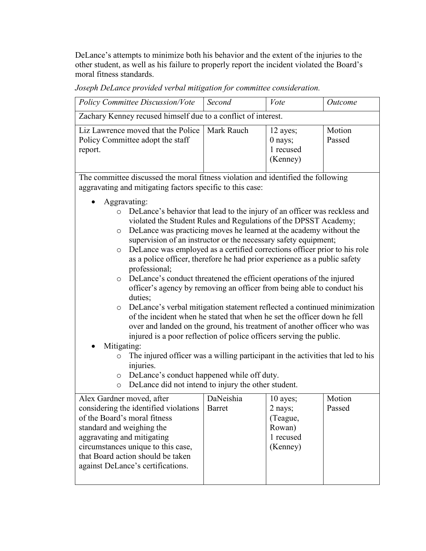DeLance's attempts to minimize both his behavior and the extent of the injuries to the other student, as well as his failure to properly report the incident violated the Board's moral fitness standards.

*Joseph DeLance provided verbal mitigation for committee consideration.*

| <b>Policy Committee Discussion/Vote</b>                                                                                                                                                                                                                                                                                                                                                                                                                                                                                                                                                                                                                                                                                                                                                                                                                                                                                                                                                                                                                                                                                                                                                                                                                   | Second                     | Vote                                                               | Outcome          |  |  |
|-----------------------------------------------------------------------------------------------------------------------------------------------------------------------------------------------------------------------------------------------------------------------------------------------------------------------------------------------------------------------------------------------------------------------------------------------------------------------------------------------------------------------------------------------------------------------------------------------------------------------------------------------------------------------------------------------------------------------------------------------------------------------------------------------------------------------------------------------------------------------------------------------------------------------------------------------------------------------------------------------------------------------------------------------------------------------------------------------------------------------------------------------------------------------------------------------------------------------------------------------------------|----------------------------|--------------------------------------------------------------------|------------------|--|--|
| Zachary Kenney recused himself due to a conflict of interest.                                                                                                                                                                                                                                                                                                                                                                                                                                                                                                                                                                                                                                                                                                                                                                                                                                                                                                                                                                                                                                                                                                                                                                                             |                            |                                                                    |                  |  |  |
| Liz Lawrence moved that the Police<br>Policy Committee adopt the staff<br>report.                                                                                                                                                                                                                                                                                                                                                                                                                                                                                                                                                                                                                                                                                                                                                                                                                                                                                                                                                                                                                                                                                                                                                                         | Mark Rauch                 | 12 ayes;<br>0 nays;<br>1 recused<br>(Kenney)                       | Motion<br>Passed |  |  |
| The committee discussed the moral fitness violation and identified the following                                                                                                                                                                                                                                                                                                                                                                                                                                                                                                                                                                                                                                                                                                                                                                                                                                                                                                                                                                                                                                                                                                                                                                          |                            |                                                                    |                  |  |  |
|                                                                                                                                                                                                                                                                                                                                                                                                                                                                                                                                                                                                                                                                                                                                                                                                                                                                                                                                                                                                                                                                                                                                                                                                                                                           |                            |                                                                    |                  |  |  |
| aggravating and mitigating factors specific to this case:<br>Aggravating:<br>DeLance's behavior that lead to the injury of an officer was reckless and<br>$\circ$<br>violated the Student Rules and Regulations of the DPSST Academy;<br>DeLance was practicing moves he learned at the academy without the<br>O<br>supervision of an instructor or the necessary safety equipment;<br>DeLance was employed as a certified corrections officer prior to his role<br>$\circ$<br>as a police officer, therefore he had prior experience as a public safety<br>professional;<br>DeLance's conduct threatened the efficient operations of the injured<br>$\circ$<br>officer's agency by removing an officer from being able to conduct his<br>duties;<br>DeLance's verbal mitigation statement reflected a continued minimization<br>$\circ$<br>of the incident when he stated that when he set the officer down he fell<br>over and landed on the ground, his treatment of another officer who was<br>injured is a poor reflection of police officers serving the public.<br>Mitigating:<br>The injured officer was a willing participant in the activities that led to his<br>$\circ$<br>injuries.<br>DeLance's conduct happened while off duty.<br>$\circ$ |                            |                                                                    |                  |  |  |
| Alex Gardner moved, after<br>considering the identified violations<br>of the Board's moral fitness<br>standard and weighing the<br>aggravating and mitigating<br>circumstances unique to this case,<br>that Board action should be taken<br>against DeLance's certifications.                                                                                                                                                                                                                                                                                                                                                                                                                                                                                                                                                                                                                                                                                                                                                                                                                                                                                                                                                                             | DaNeishia<br><b>Barret</b> | 10 ayes;<br>2 nays;<br>(Teague,<br>Rowan)<br>1 recused<br>(Kenney) | Motion<br>Passed |  |  |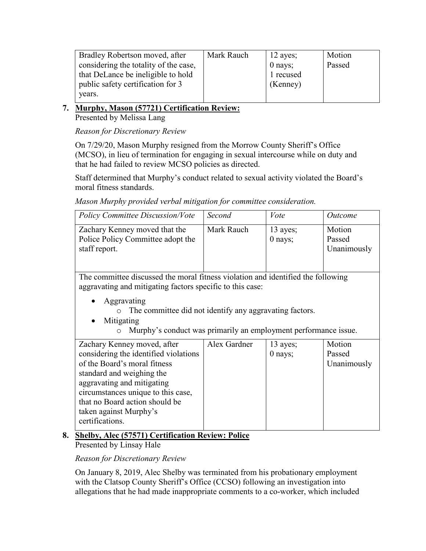| Bradley Robertson moved, after        | Mark Rauch | 12 ayes;  | Motion |
|---------------------------------------|------------|-----------|--------|
| considering the totality of the case, |            | $0$ nays; | Passed |
| that DeLance be ineligible to hold    |            | 1 recused |        |
| public safety certification for 3     |            | (Kenney)  |        |
| years.                                |            |           |        |

#### **7. Murphy, Mason (57721) Certification Review:**  Presented by Melissa Lang

*Reason for Discretionary Review*

On 7/29/20, Mason Murphy resigned from the Morrow County Sheriff's Office (MCSO), in lieu of termination for engaging in sexual intercourse while on duty and that he had failed to review MCSO policies as directed.

Staff determined that Murphy's conduct related to sexual activity violated the Board's moral fitness standards.

*Mason Murphy provided verbal mitigation for committee consideration.*

| <b>Policy Committee Discussion/Vote</b>                                                                                                                                                                                                                                              | Second       | Vote                    | <i>Outcome</i>                  |  |  |  |
|--------------------------------------------------------------------------------------------------------------------------------------------------------------------------------------------------------------------------------------------------------------------------------------|--------------|-------------------------|---------------------------------|--|--|--|
| Zachary Kenney moved that the<br>Police Policy Committee adopt the<br>staff report.                                                                                                                                                                                                  | Mark Rauch   | 13 ayes;<br>$0$ nays;   | Motion<br>Passed<br>Unanimously |  |  |  |
| The committee discussed the moral fitness violation and identified the following<br>aggravating and mitigating factors specific to this case:                                                                                                                                        |              |                         |                                 |  |  |  |
| Aggravating<br>The committee did not identify any aggravating factors.<br>Mitigating<br>Murphy's conduct was primarily an employment performance issue.<br>$\circ$                                                                                                                   |              |                         |                                 |  |  |  |
| Zachary Kenney moved, after<br>considering the identified violations<br>of the Board's moral fitness<br>standard and weighing the<br>aggravating and mitigating<br>circumstances unique to this case,<br>that no Board action should be<br>taken against Murphy's<br>certifications. | Alex Gardner | $13$ ayes;<br>$0$ nays; | Motion<br>Passed<br>Unanimously |  |  |  |

## **8. Shelby, Alec (57571) Certification Review: Police** Presented by Linsay Hale

## *Reason for Discretionary Review*

On January 8, 2019, Alec Shelby was terminated from his probationary employment with the Clatsop County Sheriff's Office (CCSO) following an investigation into allegations that he had made inappropriate comments to a co-worker, which included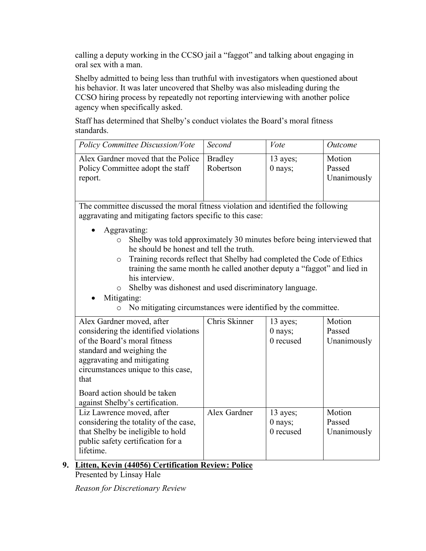calling a deputy working in the CCSO jail a "faggot" and talking about engaging in oral sex with a man.

Shelby admitted to being less than truthful with investigators when questioned about his behavior. It was later uncovered that Shelby was also misleading during the CCSO hiring process by repeatedly not reporting interviewing with another police agency when specifically asked.

Staff has determined that Shelby's conduct violates the Board's moral fitness standards.

| <b>Policy Committee Discussion/Vote</b>                                                                                                                                                                                                                                                                                                                                                                                                                                                       | Second                      | Vote                               | Outcome                         |
|-----------------------------------------------------------------------------------------------------------------------------------------------------------------------------------------------------------------------------------------------------------------------------------------------------------------------------------------------------------------------------------------------------------------------------------------------------------------------------------------------|-----------------------------|------------------------------------|---------------------------------|
| Alex Gardner moved that the Police<br>Policy Committee adopt the staff<br>report.                                                                                                                                                                                                                                                                                                                                                                                                             | <b>Bradley</b><br>Robertson | 13 ayes;<br>$0$ nays;              | Motion<br>Passed<br>Unanimously |
| The committee discussed the moral fitness violation and identified the following<br>aggravating and mitigating factors specific to this case:                                                                                                                                                                                                                                                                                                                                                 |                             |                                    |                                 |
| Aggravating:<br>Shelby was told approximately 30 minutes before being interviewed that<br>$\circ$<br>he should be honest and tell the truth.<br>Training records reflect that Shelby had completed the Code of Ethics<br>$\circ$<br>training the same month he called another deputy a "faggot" and lied in<br>his interview.<br>Shelby was dishonest and used discriminatory language.<br>$\circ$<br>Mitigating:<br>No mitigating circumstances were identified by the committee.<br>$\circ$ |                             |                                    |                                 |
| Alex Gardner moved, after<br>considering the identified violations<br>of the Board's moral fitness<br>standard and weighing the<br>aggravating and mitigating<br>circumstances unique to this case,<br>that<br>Board action should be taken<br>against Shelby's certification.                                                                                                                                                                                                                | Chris Skinner               | 13 ayes;<br>0 nays;<br>0 recused   | Motion<br>Passed<br>Unanimously |
| Liz Lawrence moved, after<br>considering the totality of the case,<br>that Shelby be ineligible to hold<br>public safety certification for a<br>lifetime.                                                                                                                                                                                                                                                                                                                                     | Alex Gardner                | 13 ayes;<br>$0$ nays;<br>0 recused | Motion<br>Passed<br>Unanimously |

**9. Litten, Kevin (44056) Certification Review: Police**

Presented by Linsay Hale

*Reason for Discretionary Review*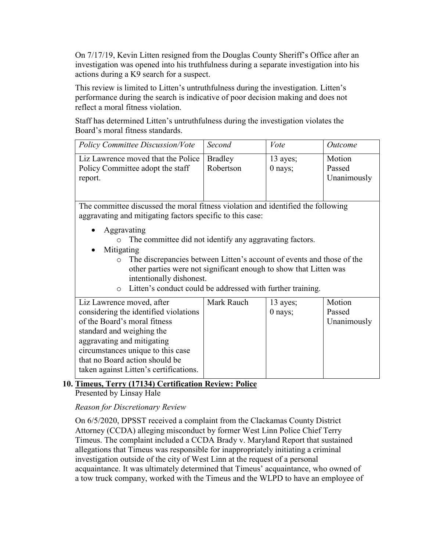On 7/17/19, Kevin Litten resigned from the Douglas County Sheriff's Office after an investigation was opened into his truthfulness during a separate investigation into his actions during a K9 search for a suspect.

This review is limited to Litten's untruthfulness during the investigation. Litten's performance during the search is indicative of poor decision making and does not reflect a moral fitness violation.

Staff has determined Litten's untruthfulness during the investigation violates the Board's moral fitness standards.

| <b>Policy Committee Discussion/Vote</b>                                          | Second         | Vote      | <i>Outcome</i> |  |  |
|----------------------------------------------------------------------------------|----------------|-----------|----------------|--|--|
| Liz Lawrence moved that the Police                                               | <b>Bradley</b> | 13 ayes;  | Motion         |  |  |
| Policy Committee adopt the staff                                                 | Robertson      | $0$ nays; | Passed         |  |  |
| report.                                                                          |                |           | Unanimously    |  |  |
|                                                                                  |                |           |                |  |  |
|                                                                                  |                |           |                |  |  |
| The committee discussed the moral fitness violation and identified the following |                |           |                |  |  |
| aggravating and mitigating factors specific to this case:                        |                |           |                |  |  |
| Aggravating                                                                      |                |           |                |  |  |
| The committee did not identify any aggravating factors.                          |                |           |                |  |  |
| Mitigating                                                                       |                |           |                |  |  |
| The discrepancies between Litten's account of events and those of the            |                |           |                |  |  |
| other parties were not significant enough to show that Litten was                |                |           |                |  |  |
| intentionally dishonest.                                                         |                |           |                |  |  |
| Litten's conduct could be addressed with further training.<br>$\bigcirc$         |                |           |                |  |  |
|                                                                                  |                |           |                |  |  |
| Liz Lawrence moved, after                                                        | Mark Rauch     | 13 ayes;  | Motion         |  |  |
| considering the identified violations                                            |                | 0 nays;   | Passed         |  |  |
| of the Board's moral fitness                                                     |                |           | Unanimously    |  |  |
| standard and weighing the                                                        |                |           |                |  |  |
| aggravating and mitigating                                                       |                |           |                |  |  |
| circumstances unique to this case                                                |                |           |                |  |  |
| that no Board action should be                                                   |                |           |                |  |  |

## **10. Timeus, Terry (17134) Certification Review: Police**

Presented by Linsay Hale

*Reason for Discretionary Review*

taken against Litten's certifications.

On 6/5/2020, DPSST received a complaint from the Clackamas County District Attorney (CCDA) alleging misconduct by former West Linn Police Chief Terry Timeus. The complaint included a CCDA Brady v. Maryland Report that sustained allegations that Timeus was responsible for inappropriately initiating a criminal investigation outside of the city of West Linn at the request of a personal acquaintance. It was ultimately determined that Timeus' acquaintance, who owned of a tow truck company, worked with the Timeus and the WLPD to have an employee of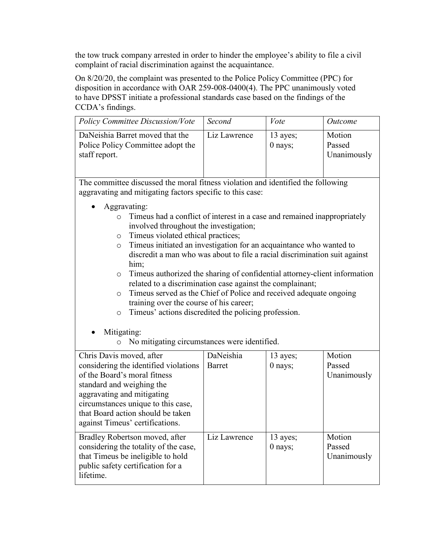the tow truck company arrested in order to hinder the employee's ability to file a civil complaint of racial discrimination against the acquaintance.

On 8/20/20, the complaint was presented to the Police Policy Committee (PPC) for disposition in accordance with OAR 259-008-0400(4). The PPC unanimously voted to have DPSST initiate a professional standards case based on the findings of the CCDA's findings.

| <b>Policy Committee Discussion/Vote</b>                                                                                                                                                                                                                                                                                                                                                                                                                                                                                                                                                                                                                                                                                                                                                                  | Second                     | Vote                  | Outcome                         |  |
|----------------------------------------------------------------------------------------------------------------------------------------------------------------------------------------------------------------------------------------------------------------------------------------------------------------------------------------------------------------------------------------------------------------------------------------------------------------------------------------------------------------------------------------------------------------------------------------------------------------------------------------------------------------------------------------------------------------------------------------------------------------------------------------------------------|----------------------------|-----------------------|---------------------------------|--|
| DaNeishia Barret moved that the<br>Police Policy Committee adopt the<br>staff report.                                                                                                                                                                                                                                                                                                                                                                                                                                                                                                                                                                                                                                                                                                                    | Liz Lawrence               | 13 ayes;<br>$0$ nays; | Motion<br>Passed<br>Unanimously |  |
| The committee discussed the moral fitness violation and identified the following<br>aggravating and mitigating factors specific to this case:<br>Aggravating:<br>Timeus had a conflict of interest in a case and remained inappropriately<br>$\circ$<br>involved throughout the investigation;<br>Timeus violated ethical practices;<br>$\circ$<br>Timeus initiated an investigation for an acquaintance who wanted to<br>$\circ$<br>discredit a man who was about to file a racial discrimination suit against<br>him;<br>Timeus authorized the sharing of confidential attorney-client information<br>$\circ$<br>related to a discrimination case against the complainant;<br>Timeus served as the Chief of Police and received adequate ongoing<br>$\circ$<br>training over the course of his career; |                            |                       |                                 |  |
| Timeus' actions discredited the policing profession.<br>$\circ$<br>Mitigating:<br>No mitigating circumstances were identified.                                                                                                                                                                                                                                                                                                                                                                                                                                                                                                                                                                                                                                                                           |                            |                       |                                 |  |
| Chris Davis moved, after<br>considering the identified violations<br>of the Board's moral fitness<br>standard and weighing the<br>aggravating and mitigating<br>circumstances unique to this case,<br>that Board action should be taken<br>against Timeus' certifications.                                                                                                                                                                                                                                                                                                                                                                                                                                                                                                                               | DaNeishia<br><b>Barret</b> | 13 ayes;<br>$0$ nays; | Motion<br>Passed<br>Unanimously |  |
| Bradley Robertson moved, after<br>considering the totality of the case,<br>that Timeus be ineligible to hold                                                                                                                                                                                                                                                                                                                                                                                                                                                                                                                                                                                                                                                                                             | Liz Lawrence               | 13 ayes;<br>0 nays;   | Motion<br>Passed<br>Unanimously |  |

public safety certification for a

lifetime.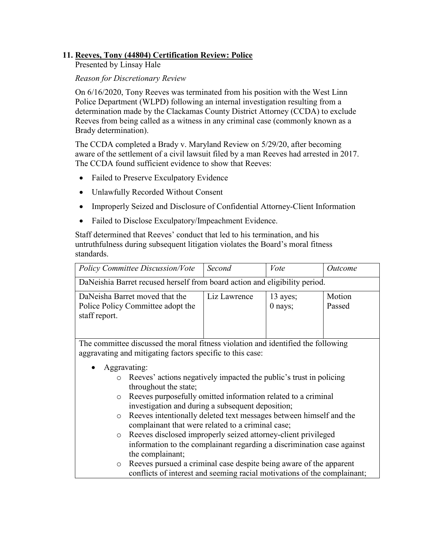## **11. Reeves, Tony (44804) Certification Review: Police**

Presented by Linsay Hale

#### *Reason for Discretionary Review*

On 6/16/2020, Tony Reeves was terminated from his position with the West Linn Police Department (WLPD) following an internal investigation resulting from a determination made by the Clackamas County District Attorney (CCDA) to exclude Reeves from being called as a witness in any criminal case (commonly known as a Brady determination).

The CCDA completed a Brady v. Maryland Review on 5/29/20, after becoming aware of the settlement of a civil lawsuit filed by a man Reeves had arrested in 2017. The CCDA found sufficient evidence to show that Reeves:

- Failed to Preserve Exculpatory Evidence
- Unlawfully Recorded Without Consent
- Improperly Seized and Disclosure of Confidential Attorney-Client Information
- Failed to Disclose Exculpatory/Impeachment Evidence.

Staff determined that Reeves' conduct that led to his termination, and his untruthfulness during subsequent litigation violates the Board's moral fitness standards.

| <b>Policy Committee Discussion/Vote</b>                                                                                                       | Second                                                                                                                                         | Vote                  | <i>Outcome</i>   |  |  |  |
|-----------------------------------------------------------------------------------------------------------------------------------------------|------------------------------------------------------------------------------------------------------------------------------------------------|-----------------------|------------------|--|--|--|
| DaNeishia Barret recused herself from board action and eligibility period.                                                                    |                                                                                                                                                |                       |                  |  |  |  |
| DaNeisha Barret moved that the<br>Police Policy Committee adopt the<br>staff report.                                                          | Liz Lawrence                                                                                                                                   | 13 ayes;<br>$0$ nays; | Motion<br>Passed |  |  |  |
| The committee discussed the moral fitness violation and identified the following<br>aggravating and mitigating factors specific to this case: |                                                                                                                                                |                       |                  |  |  |  |
| Aggravating:                                                                                                                                  |                                                                                                                                                |                       |                  |  |  |  |
| $\circ$                                                                                                                                       | Reeves' actions negatively impacted the public's trust in policing                                                                             |                       |                  |  |  |  |
| throughout the state;                                                                                                                         |                                                                                                                                                |                       |                  |  |  |  |
| $\circ$                                                                                                                                       | Reeves purposefully omitted information related to a criminal<br>investigation and during a subsequent deposition;                             |                       |                  |  |  |  |
| Reeves intentionally deleted text messages between himself and the<br>$\circ$                                                                 |                                                                                                                                                |                       |                  |  |  |  |
| complainant that were related to a criminal case;                                                                                             |                                                                                                                                                |                       |                  |  |  |  |
| Reeves disclosed improperly seized attorney-client privileged<br>$\circ$                                                                      |                                                                                                                                                |                       |                  |  |  |  |
|                                                                                                                                               | information to the complainant regarding a discrimination case against                                                                         |                       |                  |  |  |  |
| the complainant;                                                                                                                              |                                                                                                                                                |                       |                  |  |  |  |
| $\circ$                                                                                                                                       | Reeves pursued a criminal case despite being aware of the apparent<br>conflicts of interest and seeming racial motivations of the complainant; |                       |                  |  |  |  |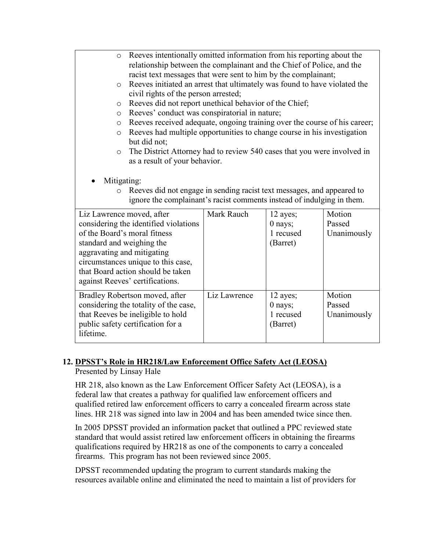- o Reeves intentionally omitted information from his reporting about the relationship between the complainant and the Chief of Police, and the racist text messages that were sent to him by the complainant;
- o Reeves initiated an arrest that ultimately was found to have violated the civil rights of the person arrested;
- o Reeves did not report unethical behavior of the Chief;
- o Reeves' conduct was conspiratorial in nature;
- o Reeves received adequate, ongoing training over the course of his career;
- o Reeves had multiple opportunities to change course in his investigation but did not;
- o The District Attorney had to review 540 cases that you were involved in as a result of your behavior.
- Mitigating:
	- o Reeves did not engage in sending racist text messages, and appeared to ignore the complainant's racist comments instead of indulging in them.

| Liz Lawrence moved, after             | Mark Rauch   | 12 ayes;  | Motion      |
|---------------------------------------|--------------|-----------|-------------|
| considering the identified violations |              | $0$ nays; | Passed      |
| of the Board's moral fitness          |              | 1 recused | Unanimously |
| standard and weighing the             |              | (Barret)  |             |
| aggravating and mitigating            |              |           |             |
| circumstances unique to this case,    |              |           |             |
| that Board action should be taken     |              |           |             |
| against Reeves' certifications.       |              |           |             |
| Bradley Robertson moved, after        | Liz Lawrence | 12 ayes;  | Motion      |
| considering the totality of the case, |              | $0$ nays; | Passed      |
| that Reeves be ineligible to hold     |              | 1 recused | Unanimously |
| public safety certification for a     |              | (Barret)  |             |
| lifetime.                             |              |           |             |

## **12. DPSST's Role in HR218/Law Enforcement Office Safety Act (LEOSA)**

Presented by Linsay Hale

HR 218, also known as the Law Enforcement Officer Safety Act (LEOSA), is a federal law that creates a pathway for qualified law enforcement officers and qualified retired law enforcement officers to carry a concealed firearm across state lines. HR 218 was signed into law in 2004 and has been amended twice since then.

In 2005 DPSST provided an information packet that outlined a PPC reviewed state standard that would assist retired law enforcement officers in obtaining the firearms qualifications required by HR218 as one of the components to carry a concealed firearms. This program has not been reviewed since 2005.

DPSST recommended updating the program to current standards making the resources available online and eliminated the need to maintain a list of providers for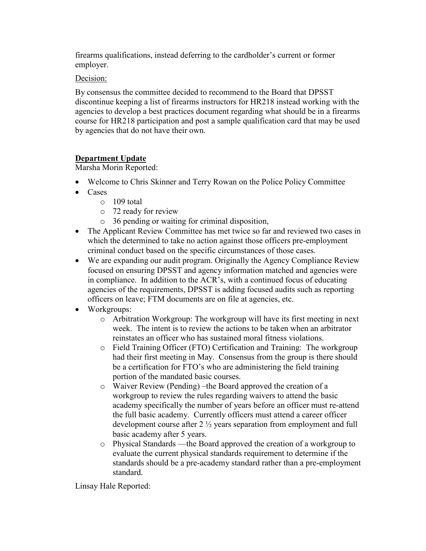firearms qualifications, instead deferring to the cardholder's current or former employer.

Decision:

By consensus the committee decided to recommend to the Board that DPSST discontinue keeping a list of firearms instructors for HR218 instead working with the agencies to develop a best practices document regarding what should be in a firearms course for HR218 participation and post a sample qualification card that may be used by agencies that do not have their own.

## **Department Update**

Marsha Morin Reported:

- Welcome to Chris Skinner and Terry Rowan on the Police Policy Committee
- Cases
	- o 109 total
	- o 72 ready for review
	- o 36 pending or waiting for criminal disposition,
- The Applicant Review Committee has met twice so far and reviewed two cases in which the determined to take no action against those officers pre-employment criminal conduct based on the specific circumstances of those cases.
- We are expanding our audit program. Originally the Agency Compliance Review focused on ensuring DPSST and agency information matched and agencies were in compliance. In addition to the ACR's, with a continued focus of educating agencies of the requirements, DPSST is adding focused audits such as reporting officers on leave; FTM documents are on file at agencies, etc.
- Workgroups:
	- o Arbitration Workgroup: The workgroup will have its first meeting in next week. The intent is to review the actions to be taken when an arbitrator reinstates an officer who has sustained moral fitness violations.
	- o Field Training Officer (FTO) Certification and Training: The workgroup had their first meeting in May. Consensus from the group is there should be a certification for FTO's who are administering the field training portion of the mandated basic courses.
	- o Waiver Review (Pending) –the Board approved the creation of a workgroup to review the rules regarding waivers to attend the basic academy specifically the number of years before an officer must re-attend the full basic academy. Currently officers must attend a career officer development course after 2 ½ years separation from employment and full basic academy after 5 years.
	- o Physical Standards —the Board approved the creation of a workgroup to evaluate the current physical standards requirement to determine if the standards should be a pre-academy standard rather than a pre-employment standard.

Linsay Hale Reported: